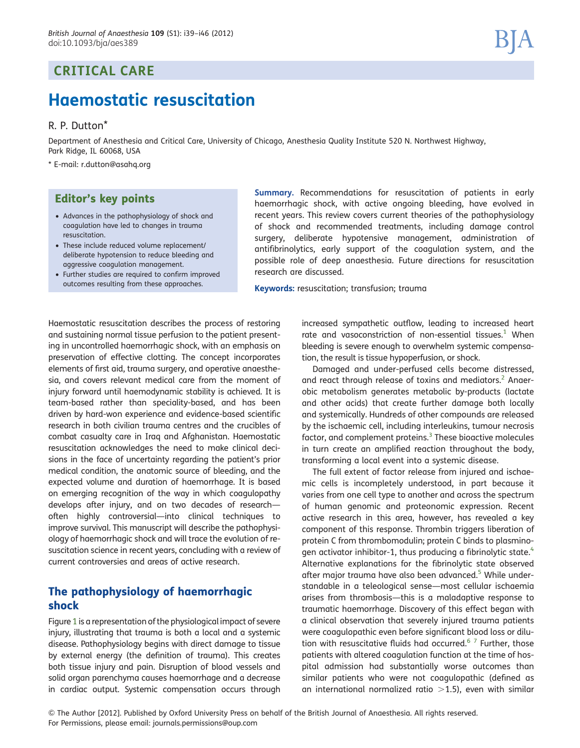# CRITICAL CARE

# Haemostatic resuscitation

#### R. P. Dutton\*

Department of Anesthesia and Critical Care, University of Chicago, Anesthesia Quality Institute 520 N. Northwest Highway, Park Ridge, IL 60068, USA

\* E-mail: [r.dutton@asahq.org](mailto:r.dutton@asahq.org)

# Editor's key points

- † Advances in the pathophysiology of shock and coagulation have led to changes in trauma resuscitation.
- These include reduced volume replacement/ deliberate hypotension to reduce bleeding and aggressive coagulation management.
- Further studies are required to confirm improved outcomes resulting from these approaches.

Summary. Recommendations for resuscitation of patients in early haemorrhagic shock, with active ongoing bleeding, have evolved in recent years. This review covers current theories of the pathophysiology of shock and recommended treatments, including damage control surgery, deliberate hypotensive management, administration of antifibrinolytics, early support of the coagulation system, and the possible role of deep anaesthesia. Future directions for resuscitation research are discussed.

Keywords: resuscitation; transfusion; trauma

Haemostatic resuscitation describes the process of restoring and sustaining normal tissue perfusion to the patient presenting in uncontrolled haemorrhagic shock, with an emphasis on preservation of effective clotting. The concept incorporates elements of first aid, trauma surgery, and operative anaesthesia, and covers relevant medical care from the moment of injury forward until haemodynamic stability is achieved. It is team-based rather than speciality-based, and has been driven by hard-won experience and evidence-based scientific research in both civilian trauma centres and the crucibles of combat casualty care in Iraq and Afghanistan. Haemostatic resuscitation acknowledges the need to make clinical decisions in the face of uncertainty regarding the patient's prior medical condition, the anatomic source of bleeding, and the expected volume and duration of haemorrhage. It is based on emerging recognition of the way in which coagulopathy develops after injury, and on two decades of research often highly controversial—into clinical techniques to improve survival. This manuscript will describe the pathophysiology of haemorrhagic shock and will trace the evolution of resuscitation science in recent years, concluding with a review of current controversies and areas of active research.

# The pathophysiology of haemorrhagic shock

Figure [1](#page-1-0) is a representation of the physiological impact of severe injury, illustrating that trauma is both a local and a systemic disease. Pathophysiology begins with direct damage to tissue by external energy (the definition of trauma). This creates both tissue injury and pain. Disruption of blood vessels and solid organ parenchyma causes haemorrhage and a decrease in cardiac output. Systemic compensation occurs through increased sympathetic outflow, leading to increased heart rate and vasoconstriction of non-essential tissues. $1$  When bleeding is severe enough to overwhelm systemic compensation, the result is tissue hypoperfusion, or shock.

Damaged and under-perfused cells become distressed, and react through release of toxins and mediators.<sup>2</sup> Anaerobic metabolism generates metabolic by-products (lactate and other acids) that create further damage both locally and systemically. Hundreds of other compounds are released by the ischaemic cell, including interleukins, tumour necrosis factor, and complement proteins. $3$  These bioactive molecules in turn create an amplified reaction throughout the body, transforming a local event into a systemic disease.

The full extent of factor release from injured and ischaemic cells is incompletely understood, in part because it varies from one cell type to another and across the spectrum of human genomic and proteonomic expression. Recent active research in this area, however, has revealed a key component of this response. Thrombin triggers liberation of protein C from thrombomodulin; protein C binds to plasmino-gen activator inhibitor-1, thus producing a fibrinolytic state.<sup>[4](#page-6-0)</sup> Alternative explanations for the fibrinolytic state observed after major trauma have also been advanced.<sup>[5](#page-6-0)</sup> While understandable in a teleological sense—most cellular ischaemia arises from thrombosis—this is a maladaptive response to traumatic haemorrhage. Discovery of this effect began with a clinical observation that severely injured trauma patients were coagulopathic even before significant blood loss or dilution with resuscitative fluids had occurred.<sup>6</sup>  $<sup>7</sup>$  Further, those</sup> patients with altered coagulation function at the time of hospital admission had substantially worse outcomes than similar patients who were not coagulopathic (defined as an international normalized ratio  $>1.5$ ), even with similar

& The Author [2012]. Published by Oxford University Press on behalf of the British Journal of Anaesthesia. All rights reserved. For Permissions, please email: journals.permissions@oup.com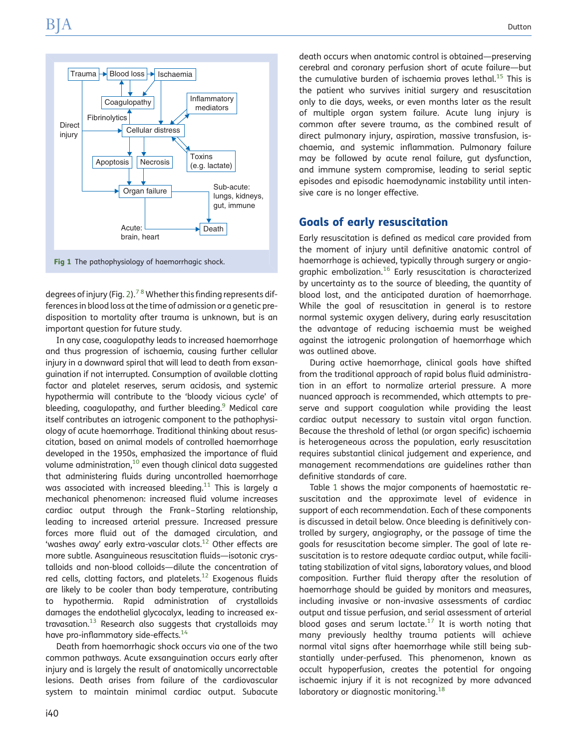<span id="page-1-0"></span>

Fig 1 The pathophysiology of haemorrhagic shock.

degrees of injury (Fig. [2](#page-2-0)).<sup>78</sup> Whether this finding represents differences in blood loss at the time of admission or a genetic predisposition to mortality after trauma is unknown, but is an important question for future study.

In any case, coagulopathy leads to increased haemorrhage and thus progression of ischaemia, causing further cellular injury in a downward spiral that will lead to death from exsanguination if not interrupted. Consumption of available clotting factor and platelet reserves, serum acidosis, and systemic hypothermia will contribute to the 'bloody vicious cycle' of bleeding, coagulopathy, and further bleeding.<sup>9</sup> Medical care itself contributes an iatrogenic component to the pathophysiology of acute haemorrhage. Traditional thinking about resuscitation, based on animal models of controlled haemorrhage developed in the 1950s, emphasized the importance of fluid volume administration, $10$  even though clinical data suggested that administering fluids during uncontrolled haemorrhage was associated with increased bleeding.<sup>11</sup> This is largely a mechanical phenomenon: increased fluid volume increases cardiac output through the Frank–Starling relationship, leading to increased arterial pressure. Increased pressure forces more fluid out of the damaged circulation, and 'washes away' early extra-vascular clots. $^{12}$  Other effects are more subtle. Asanguineous resuscitation fluids—isotonic crystalloids and non-blood colloids—dilute the concentration of red cells, clotting factors, and platelets. $12$  Exogenous fluids are likely to be cooler than body temperature, contributing to hypothermia. Rapid administration of crystalloids damages the endothelial glycocalyx, leading to increased extravasation. $^{13}$  $^{13}$  $^{13}$  Research also suggests that crystalloids may have pro-inflammatory side-effects.<sup>[14](#page-6-0)</sup>

Death from haemorrhagic shock occurs via one of the two common pathways. Acute exsanguination occurs early after injury and is largely the result of anatomically uncorrectable lesions. Death arises from failure of the cardiovascular system to maintain minimal cardiac output. Subacute death occurs when anatomic control is obtained—preserving cerebral and coronary perfusion short of acute failure—but the cumulative burden of ischaemia proves lethal.<sup>[15](#page-6-0)</sup> This is the patient who survives initial surgery and resuscitation only to die days, weeks, or even months later as the result of multiple organ system failure. Acute lung injury is common after severe trauma, as the combined result of direct pulmonary injury, aspiration, massive transfusion, ischaemia, and systemic inflammation. Pulmonary failure may be followed by acute renal failure, gut dysfunction, and immune system compromise, leading to serial septic episodes and episodic haemodynamic instability until intensive care is no longer effective.

#### Goals of early resuscitation

Early resuscitation is defined as medical care provided from the moment of injury until definitive anatomic control of haemorrhage is achieved, typically through surgery or angio-graphic embolization.<sup>[16](#page-6-0)</sup> Early resuscitation is characterized by uncertainty as to the source of bleeding, the quantity of blood lost, and the anticipated duration of haemorrhage. While the goal of resuscitation in general is to restore normal systemic oxygen delivery, during early resuscitation the advantage of reducing ischaemia must be weighed against the iatrogenic prolongation of haemorrhage which was outlined above.

During active haemorrhage, clinical goals have shifted from the traditional approach of rapid bolus fluid administration in an effort to normalize arterial pressure. A more nuanced approach is recommended, which attempts to preserve and support coagulation while providing the least cardiac output necessary to sustain vital organ function. Because the threshold of lethal (or organ specific) ischaemia is heterogeneous across the population, early resuscitation requires substantial clinical judgement and experience, and management recommendations are guidelines rather than definitive standards of care.

Table [1](#page-2-0) shows the major components of haemostatic resuscitation and the approximate level of evidence in support of each recommendation. Each of these components is discussed in detail below. Once bleeding is definitively controlled by surgery, angiography, or the passage of time the goals for resuscitation become simpler. The goal of late resuscitation is to restore adequate cardiac output, while facilitating stabilization of vital signs, laboratory values, and blood composition. Further fluid therapy after the resolution of haemorrhage should be guided by monitors and measures, including invasive or non-invasive assessments of cardiac output and tissue perfusion, and serial assessment of arterial blood gases and serum lactate.<sup>[17](#page-6-0)</sup> It is worth noting that many previously healthy trauma patients will achieve normal vital signs after haemorrhage while still being substantially under-perfused. This phenomenon, known as occult hypoperfusion, creates the potential for ongoing ischaemic injury if it is not recognized by more advanced laboratory or diagnostic monitoring.<sup>[18](#page-6-0)</sup>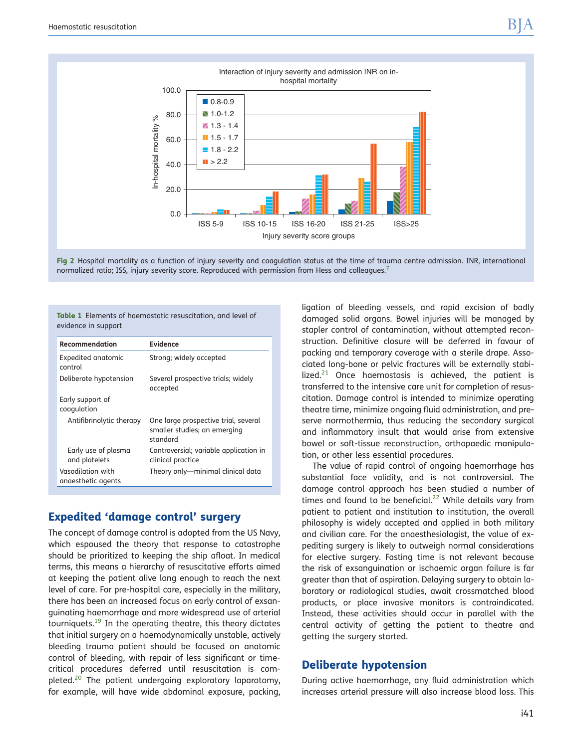<span id="page-2-0"></span>

Fig 2 Hospital mortality as a function of injury severity and coagulation status at the time of trauma centre admission. INR, international normalized ratio; ISS, injury severity score. Reproduced with permission from Hess and colleagues.<sup>[7](#page-6-0)</sup>

#### Table 1 Elements of haemostatic resuscitation, and level of evidence in support

| Recommendation                          | Evidence                                                                         |
|-----------------------------------------|----------------------------------------------------------------------------------|
| Expedited anatomic<br>control           | Strong; widely accepted                                                          |
| Deliberate hypotension                  | Several prospective trials; widely<br>accepted                                   |
| Early support of<br>coagulation         |                                                                                  |
| Antifibrinolytic therapy                | One large prospective trial, several<br>smaller studies; an emerging<br>standard |
| Early use of plasma<br>and platelets    | Controversial; variable application in<br>clinical practice                      |
| Vasodilation with<br>anaesthetic agents | Theory only—minimal clinical data                                                |

# Expedited 'damage control' surgery

The concept of damage control is adopted from the US Navy, which espoused the theory that response to catastrophe should be prioritized to keeping the ship afloat. In medical terms, this means a hierarchy of resuscitative efforts aimed at keeping the patient alive long enough to reach the next level of care. For pre-hospital care, especially in the military, there has been an increased focus on early control of exsanguinating haemorrhage and more widespread use of arterial tourniquets.[19](#page-6-0) In the operating theatre, this theory dictates that initial surgery on a haemodynamically unstable, actively bleeding trauma patient should be focused on anatomic control of bleeding, with repair of less significant or timecritical procedures deferred until resuscitation is com-pleted.<sup>[20](#page-6-0)</sup> The patient undergoing exploratory laparotomy, for example, will have wide abdominal exposure, packing, ligation of bleeding vessels, and rapid excision of badly damaged solid organs. Bowel injuries will be managed by stapler control of contamination, without attempted reconstruction. Definitive closure will be deferred in favour of packing and temporary coverage with a sterile drape. Associated long-bone or pelvic fractures will be externally stabilized. $21$  Once haemostasis is achieved, the patient is transferred to the intensive care unit for completion of resuscitation. Damage control is intended to minimize operating theatre time, minimize ongoing fluid administration, and preserve normothermia, thus reducing the secondary surgical and inflammatory insult that would arise from extensive bowel or soft-tissue reconstruction, orthopaedic manipulation, or other less essential procedures.

The value of rapid control of ongoing haemorrhage has substantial face validity, and is not controversial. The damage control approach has been studied a number of times and found to be beneficial. $^{22}$  $^{22}$  $^{22}$  While details vary from patient to patient and institution to institution, the overall philosophy is widely accepted and applied in both military and civilian care. For the anaesthesiologist, the value of expediting surgery is likely to outweigh normal considerations for elective surgery. Fasting time is not relevant because the risk of exsanguination or ischaemic organ failure is far greater than that of aspiration. Delaying surgery to obtain laboratory or radiological studies, await crossmatched blood products, or place invasive monitors is contraindicated. Instead, these activities should occur in parallel with the central activity of getting the patient to theatre and getting the surgery started.

# Deliberate hypotension

During active haemorrhage, any fluid administration which increases arterial pressure will also increase blood loss. This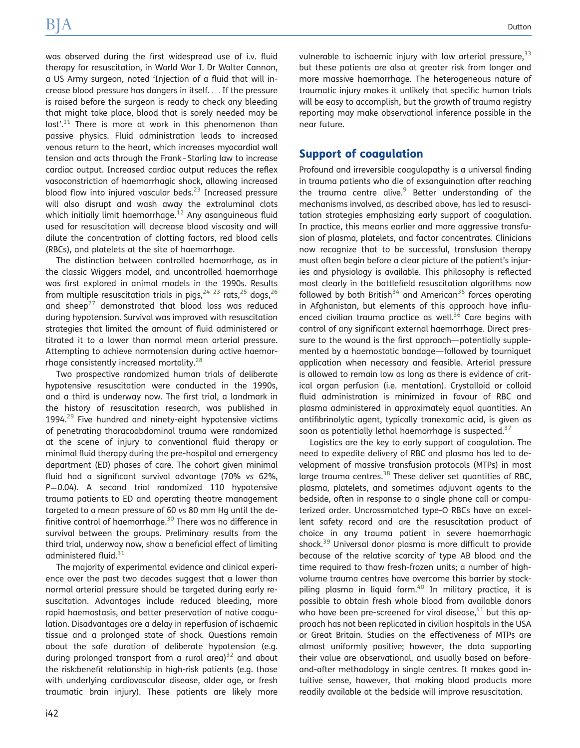was observed during the first widespread use of i.v. fluid therapy for resuscitation, in World War I. Dr Walter Cannon, a US Army surgeon, noted 'Injection of a fluid that will increase blood pressure has dangers in itself. ... If the pressure is raised before the surgeon is ready to check any bleeding that might take place, blood that is sorely needed may be lost'.<sup>[11](#page-6-0)</sup> There is more at work in this phenomenon than passive physics. Fluid administration leads to increased venous return to the heart, which increases myocardial wall tension and acts through the Frank –Starling law to increase cardiac output. Increased cardiac output reduces the reflex vasoconstriction of haemorrhagic shock, allowing increased blood flow into injured vascular beds. $^{23}$  Increased pressure will also disrupt and wash away the extraluminal clots which initially limit haemorrhage.<sup>12</sup> Any asanguineous fluid used for resuscitation will decrease blood viscosity and will dilute the concentration of clotting factors, red blood cells (RBCs), and platelets at the site of haemorrhage.

The distinction between controlled haemorrhage, as in the classic Wiggers model, and uncontrolled haemorrhage was first explored in animal models in the 1990s. Results from multiple resuscitation trials in pigs,  $24$   $23$  rats,  $25$  dogs,  $26$ and sheep<sup>27</sup> demonstrated that blood loss was reduced during hypotension. Survival was improved with resuscitation strategies that limited the amount of fluid administered or titrated it to a lower than normal mean arterial pressure. Attempting to achieve normotension during active haemorrhage consistently increased mortality[.28](#page-6-0)

Two prospective randomized human trials of deliberate hypotensive resuscitation were conducted in the 1990s, and a third is underway now. The first trial, a landmark in the history of resuscitation research, was published in 1994.<sup>[29](#page-6-0)</sup> Five hundred and ninety-eight hypotensive victims of penetrating thoracoabdominal trauma were randomized at the scene of injury to conventional fluid therapy or minimal fluid therapy during the pre-hospital and emergency department (ED) phases of care. The cohort given minimal fluid had a significant survival advantage (70% vs 62%,  $P=0.04$ ). A second trial randomized 110 hypotensive trauma patients to ED and operating theatre management targeted to a mean pressure of 60 vs 80 mm Hg until the definitive control of haemorrhage. $30$  There was no difference in survival between the groups. Preliminary results from the third trial, underway now, show a beneficial effect of limiting administered fluid.<sup>31</sup>

The majority of experimental evidence and clinical experience over the past two decades suggest that a lower than normal arterial pressure should be targeted during early resuscitation. Advantages include reduced bleeding, more rapid haemostasis, and better preservation of native coagulation. Disadvantages are a delay in reperfusion of ischaemic tissue and a prolonged state of shock. Questions remain about the safe duration of deliberate hypotension (e.g. during prolonged transport from a rural area) $32$  and about the risk:benefit relationship in high-risk patients (e.g. those with underlying cardiovascular disease, older age, or fresh traumatic brain injury). These patients are likely more vulnerable to ischaemic injury with low arterial pressure,  $33$ but these patients are also at greater risk from longer and more massive haemorrhage. The heterogeneous nature of traumatic injury makes it unlikely that specific human trials will be easy to accomplish, but the growth of trauma registry reporting may make observational inference possible in the near future.

# Support of coagulation

Profound and irreversible coagulopathy is a universal finding in trauma patients who die of exsanguination after reaching the trauma centre alive.<sup>[9](#page-6-0)</sup> Better understanding of the mechanisms involved, as described above, has led to resuscitation strategies emphasizing early support of coagulation. In practice, this means earlier and more aggressive transfusion of plasma, platelets, and factor concentrates. Clinicians now recognize that to be successful, transfusion therapy must often begin before a clear picture of the patient's injuries and physiology is available. This philosophy is reflected most clearly in the battlefield resuscitation algorithms now followed by both British<sup>34</sup> and American<sup>[35](#page-6-0)</sup> forces operating in Afghanistan, but elements of this approach have influ-enced civilian trauma practice as well.<sup>[36](#page-6-0)</sup> Care begins with control of any significant external haemorrhage. Direct pressure to the wound is the first approach—potentially supplemented by a haemostatic bandage—followed by tourniquet application when necessary and feasible. Arterial pressure is allowed to remain low as long as there is evidence of critical organ perfusion (i.e. mentation). Crystalloid or colloid fluid administration is minimized in favour of RBC and plasma administered in approximately equal quantities. An antifibrinolytic agent, typically tranexamic acid, is given as soon as potentially lethal haemorrhage is suspected.<sup>[37](#page-6-0)</sup>

Logistics are the key to early support of coagulation. The need to expedite delivery of RBC and plasma has led to development of massive transfusion protocols (MTPs) in most large trauma centres.<sup>[38](#page-6-0)</sup> These deliver set quantities of RBC. plasma, platelets, and sometimes adjuvant agents to the bedside, often in response to a single phone call or computerized order. Uncrossmatched type-O RBCs have an excellent safety record and are the resuscitation product of choice in any trauma patient in severe haemorrhagic shock.<sup>39</sup> Universal donor plasma is more difficult to provide because of the relative scarcity of type AB blood and the time required to thaw fresh-frozen units; a number of highvolume trauma centres have overcome this barrier by stock-piling plasma in liquid form.<sup>[40](#page-6-0)</sup> In military practice, it is possible to obtain fresh whole blood from available donors who have been pre-screened for viral disease, $41$  but this approach has not been replicated in civilian hospitals in the USA or Great Britain. Studies on the effectiveness of MTPs are almost uniformly positive; however, the data supporting their value are observational, and usually based on beforeand-after methodology in single centres. It makes good intuitive sense, however, that making blood products more readily available at the bedside will improve resuscitation.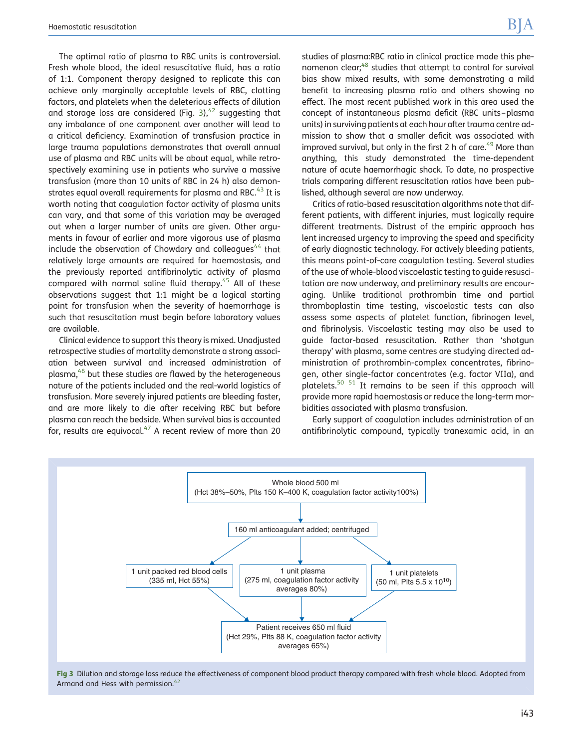The optimal ratio of plasma to RBC units is controversial. Fresh whole blood, the ideal resuscitative fluid, has a ratio of 1:1. Component therapy designed to replicate this can achieve only marginally acceptable levels of RBC, clotting factors, and platelets when the deleterious effects of dilution and storage loss are considered (Fig. 3), $42$  suggesting that any imbalance of one component over another will lead to a critical deficiency. Examination of transfusion practice in large trauma populations demonstrates that overall annual use of plasma and RBC units will be about equal, while retrospectively examining use in patients who survive a massive transfusion (more than 10 units of RBC in 24 h) also demonstrates equal overall requirements for plasma and RBC. $43$  It is worth noting that coagulation factor activity of plasma units can vary, and that some of this variation may be averaged out when a larger number of units are given. Other arguments in favour of earlier and more vigorous use of plasma include the observation of Chowdary and colleagues<sup>[44](#page-7-0)</sup> that relatively large amounts are required for haemostasis, and the previously reported antifibrinolytic activity of plasma compared with normal saline fluid therapy.<sup>[45](#page-7-0)</sup> All of these observations suggest that 1:1 might be a logical starting point for transfusion when the severity of haemorrhage is such that resuscitation must begin before laboratory values are available.

Clinical evidence to support this theory is mixed. Unadjusted retrospective studies of mortality demonstrate a strong association between survival and increased administration of plasma,<sup>46</sup> but these studies are flawed by the heterogeneous nature of the patients included and the real-world logistics of transfusion. More severely injured patients are bleeding faster, and are more likely to die after receiving RBC but before plasma can reach the bedside. When survival bias is accounted for, results are equivocal. $47$  A recent review of more than 20 studies of plasma:RBC ratio in clinical practice made this phe-nomenon clear;<sup>[48](#page-7-0)</sup> studies that attempt to control for survival bias show mixed results, with some demonstrating a mild benefit to increasing plasma ratio and others showing no effect. The most recent published work in this area used the concept of instantaneous plasma deficit (RBC units–plasma units) in surviving patients at each hour after trauma centre admission to show that a smaller deficit was associated with improved survival, but only in the first 2 h of care.<sup>[49](#page-7-0)</sup> More than anything, this study demonstrated the time-dependent nature of acute haemorrhagic shock. To date, no prospective trials comparing different resuscitation ratios have been published, although several are now underway.

Critics of ratio-based resuscitation algorithms note that different patients, with different injuries, must logically require different treatments. Distrust of the empiric approach has lent increased urgency to improving the speed and specificity of early diagnostic technology. For actively bleeding patients, this means point-of-care coagulation testing. Several studies of the use of whole-blood viscoelastic testing to guide resuscitation are now underway, and preliminary results are encouraging. Unlike traditional prothrombin time and partial thromboplastin time testing, viscoelastic tests can also assess some aspects of platelet function, fibrinogen level, and fibrinolysis. Viscoelastic testing may also be used to guide factor-based resuscitation. Rather than 'shotgun therapy' with plasma, some centres are studying directed administration of prothrombin-complex concentrates, fibrinogen, other single-factor concentrates (e.g. factor VIIa), and platelets.<sup>[50 51](#page-7-0)</sup> It remains to be seen if this approach will provide more rapid haemostasis or reduce the long-term morbidities associated with plasma transfusion.

Early support of coagulation includes administration of an antifibrinolytic compound, typically tranexamic acid, in an



Fig 3 Dilution and storage loss reduce the effectiveness of component blood product therapy compared with fresh whole blood. Adopted from Armand and Hess with permission.<sup>[42](#page-7-0)</sup>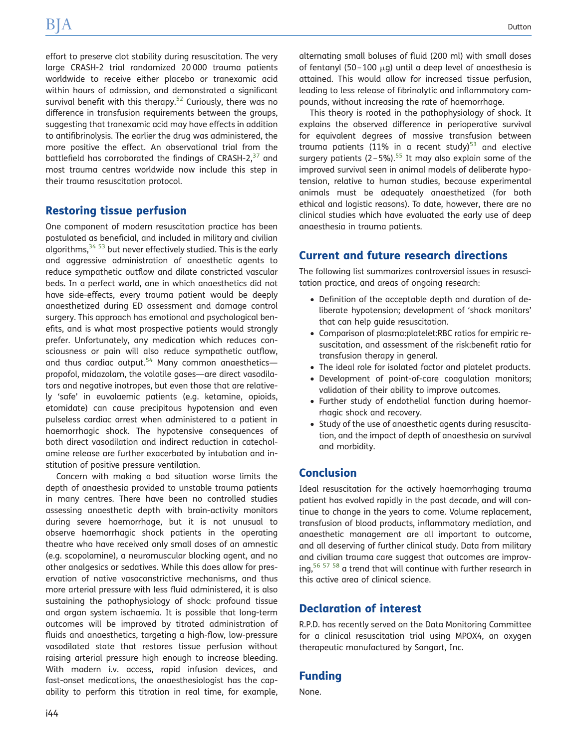effort to preserve clot stability during resuscitation. The very large CRASH-2 trial randomized 20 000 trauma patients worldwide to receive either placebo or tranexamic acid within hours of admission, and demonstrated a significant survival benefit with this therapy.<sup>52</sup> Curiously, there was no difference in transfusion requirements between the groups, suggesting that tranexamic acid may have effects in addition to antifibrinolysis. The earlier the drug was administered, the more positive the effect. An observational trial from the battlefield has corroborated the findings of CRASH-2, $37$  and most trauma centres worldwide now include this step in their trauma resuscitation protocol.

#### Restoring tissue perfusion

One component of modern resuscitation practice has been postulated as beneficial, and included in military and civilian algorithms,  $34\,53$  $34\,53$  but never effectively studied. This is the early and aggressive administration of anaesthetic agents to reduce sympathetic outflow and dilate constricted vascular beds. In a perfect world, one in which anaesthetics did not have side-effects, every trauma patient would be deeply anaesthetized during ED assessment and damage control surgery. This approach has emotional and psychological benefits, and is what most prospective patients would strongly prefer. Unfortunately, any medication which reduces consciousness or pain will also reduce sympathetic outflow, and thus cardiac output.<sup>[54](#page-7-0)</sup> Many common anaestheticspropofol, midazolam, the volatile gases—are direct vasodilators and negative inotropes, but even those that are relatively 'safe' in euvolaemic patients (e.g. ketamine, opioids, etomidate) can cause precipitous hypotension and even pulseless cardiac arrest when administered to a patient in haemorrhagic shock. The hypotensive consequences of both direct vasodilation and indirect reduction in catecholamine release are further exacerbated by intubation and institution of positive pressure ventilation.

Concern with making a bad situation worse limits the depth of anaesthesia provided to unstable trauma patients in many centres. There have been no controlled studies assessing anaesthetic depth with brain-activity monitors during severe haemorrhage, but it is not unusual to observe haemorrhagic shock patients in the operating theatre who have received only small doses of an amnestic (e.g. scopolamine), a neuromuscular blocking agent, and no other analgesics or sedatives. While this does allow for preservation of native vasoconstrictive mechanisms, and thus more arterial pressure with less fluid administered, it is also sustaining the pathophysiology of shock: profound tissue and organ system ischaemia. It is possible that long-term outcomes will be improved by titrated administration of fluids and anaesthetics, targeting a high-flow, low-pressure vasodilated state that restores tissue perfusion without raising arterial pressure high enough to increase bleeding. With modern i.v. access, rapid infusion devices, and fast-onset medications, the anaesthesiologist has the capability to perform this titration in real time, for example, alternating small boluses of fluid (200 ml) with small doses of fentanyl (50-100  $\mu$ g) until a deep level of anaesthesia is attained. This would allow for increased tissue perfusion, leading to less release of fibrinolytic and inflammatory compounds, without increasing the rate of haemorrhage.

This theory is rooted in the pathophysiology of shock. It explains the observed difference in perioperative survival for equivalent degrees of massive transfusion between trauma patients (11% in a recent study)<sup>53</sup> and elective surgery patients (2-5%).<sup>[55](#page-7-0)</sup> It may also explain some of the improved survival seen in animal models of deliberate hypotension, relative to human studies, because experimental animals must be adequately anaesthetized (for both ethical and logistic reasons). To date, however, there are no clinical studies which have evaluated the early use of deep anaesthesia in trauma patients.

# Current and future research directions

The following list summarizes controversial issues in resuscitation practice, and areas of ongoing research:

- † Definition of the acceptable depth and duration of deliberate hypotension; development of 'shock monitors' that can help guide resuscitation.
- † Comparison of plasma:platelet:RBC ratios for empiric resuscitation, and assessment of the risk:benefit ratio for transfusion therapy in general.
- The ideal role for isolated factor and platelet products.
- Development of point-of-care coagulation monitors; validation of their ability to improve outcomes.
- Further study of endothelial function during haemorrhagic shock and recovery.
- Study of the use of anaesthetic agents during resuscitation, and the impact of depth of anaesthesia on survival and morbidity.

# Conclusion

Ideal resuscitation for the actively haemorrhaging trauma patient has evolved rapidly in the past decade, and will continue to change in the years to come. Volume replacement, transfusion of blood products, inflammatory mediation, and anaesthetic management are all important to outcome, and all deserving of further clinical study. Data from military and civilian trauma care suggest that outcomes are improv-ing,<sup>[56 57 58](#page-7-0)</sup> a trend that will continue with further research in this active area of clinical science.

# Declaration of interest

R.P.D. has recently served on the Data Monitoring Committee for a clinical resuscitation trial using MPOX4, an oxygen therapeutic manufactured by Sangart, Inc.

# Funding

None.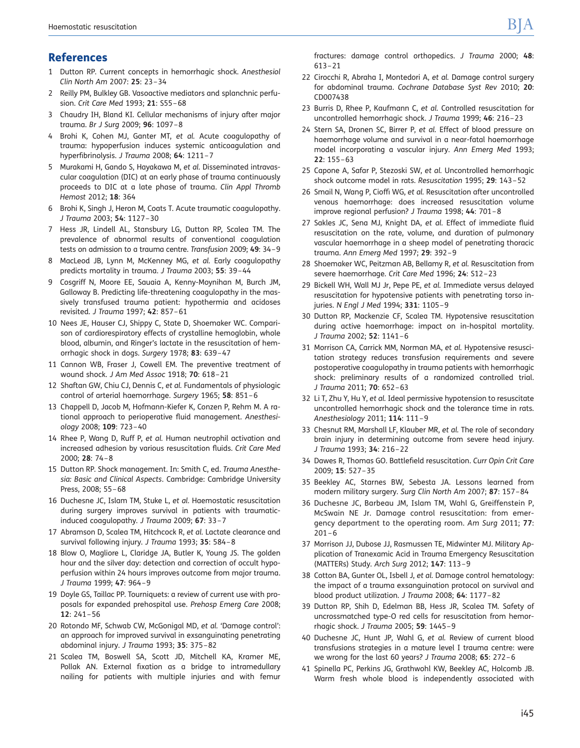#### <span id="page-6-0"></span>References

- 1 Dutton RP. Current concepts in hemorrhagic shock. Anesthesiol Clin North Am 2007: 25: 23 –34
- 2 Reilly PM, Bulkley GB. Vasoactive mediators and splanchnic perfusion. Crit Care Med 1993; 21: S55–68
- 3 Chaudry IH, Bland KI. Cellular mechanisms of injury after major trauma. Br J Surg 2009; 96: 1097–8
- Brohi K, Cohen MJ, Ganter MT, et al. Acute coagulopathy of trauma: hypoperfusion induces systemic anticoagulation and hyperfibrinolysis. J Trauma 2008; 64: 1211–7
- 5 Murakami H, Gando S, Hayakawa M, et al. Disseminated intravascular coagulation (DIC) at an early phase of trauma continuously proceeds to DIC at a late phase of trauma. Clin Appl Thromb Hemost 2012; 18: 364
- 6 Brohi K, Singh J, Heron M, Coats T. Acute traumatic coagulopathy. J Trauma 2003; 54: 1127–30
- 7 Hess JR, Lindell AL, Stansbury LG, Dutton RP, Scalea TM. The prevalence of abnormal results of conventional coagulation tests on admission to a trauma centre. Transfusion 2009; 49: 34–9
- 8 MacLeod JB, Lynn M, McKenney MG, et al. Early coagulopathy predicts mortality in trauma. J Trauma 2003; 55: 39 –44
- 9 Cosgriff N, Moore EE, Sauaia A, Kenny-Moynihan M, Burch JM, Galloway B. Predicting life-threatening coagulopathy in the massively transfused trauma patient: hypothermia and acidoses revisited. J Trauma 1997; 42: 857–61
- 10 Nees JE, Hauser CJ, Shippy C, State D, Shoemaker WC. Comparison of cardiorespiratory effects of crystalline hemoglobin, whole blood, albumin, and Ringer's lactate in the resuscitation of hemorrhagic shock in dogs. Surgery 1978; 83: 639 –47
- 11 Cannon WB, Fraser J, Cowell EM. The preventive treatment of wound shock. J Am Med Assoc 1918; 70: 618–21
- 12 Shaftan GW, Chiu CJ, Dennis C, et al. Fundamentals of physiologic control of arterial haemorrhage. Surgery 1965; 58: 851–6
- 13 Chappell D, Jacob M, Hofmann-Kiefer K, Conzen P, Rehm M. A rational approach to perioperative fluid management. Anesthesiology 2008; 109: 723–40
- 14 Rhee P, Wang D, Ruff P, et al. Human neutrophil activation and increased adhesion by various resuscitation fluids. Crit Care Med 2000; 28: 74–8
- 15 Dutton RP. Shock management. In: Smith C, ed. Trauma Anesthesia: Basic and Clinical Aspects. Cambridge: Cambridge University Press, 2008; 55–68
- 16 Duchesne JC, Islam TM, Stuke L, et al. Haemostatic resuscitation during surgery improves survival in patients with traumaticinduced coagulopathy. J Trauma 2009; 67: 33 –7
- 17 Abramson D, Scalea TM, Hitchcock R, et al. Lactate clearance and survival following injury. J Trauma 1993; 35: 584-8
- 18 Blow O, Magliore L, Claridge JA, Butler K, Young JS. The golden hour and the silver day: detection and correction of occult hypoperfusion within 24 hours improves outcome from major trauma. J Trauma 1999; 47: 964 –9
- 19 Doyle GS, Taillac PP. Tourniquets: a review of current use with proposals for expanded prehospital use. Prehosp Emerg Care 2008; 12: 241 –56
- 20 Rotondo MF, Schwab CW, McGonigal MD, et al. 'Damage control': an approach for improved survival in exsanguinating penetrating abdominal injury. J Trauma 1993; 35: 375 –82
- 21 Scalea TM, Boswell SA, Scott JD, Mitchell KA, Kramer ME, Pollak AN. External fixation as a bridge to intramedullary nailing for patients with multiple injuries and with femur

fractures: damage control orthopedics. J Trauma 2000; 48: 613–21

- 22 Cirocchi R, Abraha I, Montedori A, et al. Damage control surgery for abdominal trauma. Cochrane Database Syst Rev 2010; 20: CD007438
- 23 Burris D, Rhee P, Kaufmann C, et al. Controlled resuscitation for uncontrolled hemorrhagic shock. J Trauma 1999; 46: 216–23
- 24 Stern SA, Dronen SC, Birrer P, et al. Effect of blood pressure on haemorrhage volume and survival in a near-fatal haemorrhage model incorporating a vascular injury. Ann Emerg Med 1993; 22: 155 –63
- 25 Capone A, Safar P, Stezoski SW, et al. Uncontrolled hemorrhagic shock outcome model in rats. Resuscitation 1995; 29: 143–52
- 26 Smail N, Wang P, Cioffi WG, et al. Resuscitation after uncontrolled venous haemorrhage: does increased resuscitation volume improve regional perfusion? J Trauma 1998; 44: 701–8
- 27 Sakles JC, Sena MJ, Knight DA, et al. Effect of immediate fluid resuscitation on the rate, volume, and duration of pulmonary vascular haemorrhage in a sheep model of penetrating thoracic trauma. Ann Emerg Med 1997; 29: 392–9
- 28 Shoemaker WC, Peitzman AB, Bellamy R, et al. Resuscitation from severe haemorrhage. Crit Care Med 1996; 24: S12-23
- 29 Bickell WH, Wall MJ Jr, Pepe PE, et al. Immediate versus delayed resuscitation for hypotensive patients with penetrating torso injuries. N Engl J Med 1994; 331: 1105-9
- 30 Dutton RP, Mackenzie CF, Scalea TM. Hypotensive resuscitation during active haemorrhage: impact on in-hospital mortality. J Trauma 2002; 52: 1141–6
- 31 Morrison CA, Carrick MM, Norman MA, et al. Hypotensive resuscitation strategy reduces transfusion requirements and severe postoperative coagulopathy in trauma patients with hemorrhagic shock: preliminary results of a randomized controlled trial. J Trauma 2011; 70: 652 –63
- 32 Li T, Zhu Y, Hu Y, et al. Ideal permissive hypotension to resuscitate uncontrolled hemorrhagic shock and the tolerance time in rats. Anesthesiology 2011; 114: 111 –9
- 33 Chesnut RM, Marshall LF, Klauber MR, et al. The role of secondary brain injury in determining outcome from severe head injury. J Trauma 1993; 34: 216 –22
- 34 Dawes R, Thomas GO. Battlefield resuscitation. Curr Opin Crit Care 2009; 15: 527–35
- 35 Beekley AC, Starnes BW, Sebesta JA. Lessons learned from modern military surgery. Surg Clin North Am 2007; 87: 157 –84
- 36 Duchesne JC, Barbeau JM, Islam TM, Wahl G, Greiffenstein P, McSwain NE Jr. Damage control resuscitation: from emergency department to the operating room. Am Surg 2011; 77:  $201 - 6$
- 37 Morrison JJ, Dubose JJ, Rasmussen TE, Midwinter MJ. Military Application of Tranexamic Acid in Trauma Emergency Resuscitation (MATTERs) Study. Arch Surg 2012; 147: 113–9
- 38 Cotton BA, Gunter OL, Isbell J, et al. Damage control hematology: the impact of a trauma exsanguination protocol on survival and blood product utilization. J Trauma 2008; 64: 1177–82
- 39 Dutton RP, Shih D, Edelman BB, Hess JR, Scalea TM. Safety of uncrossmatched type-O red cells for resuscitation from hemorrhagic shock. J Trauma 2005; 59: 1445–9
- 40 Duchesne JC, Hunt JP, Wahl G, et al. Review of current blood transfusions strategies in a mature level I trauma centre: were we wrong for the last 60 years? J Trauma 2008; 65: 272–6
- 41 Spinella PC, Perkins JG, Grathwohl KW, Beekley AC, Holcomb JB. Warm fresh whole blood is independently associated with